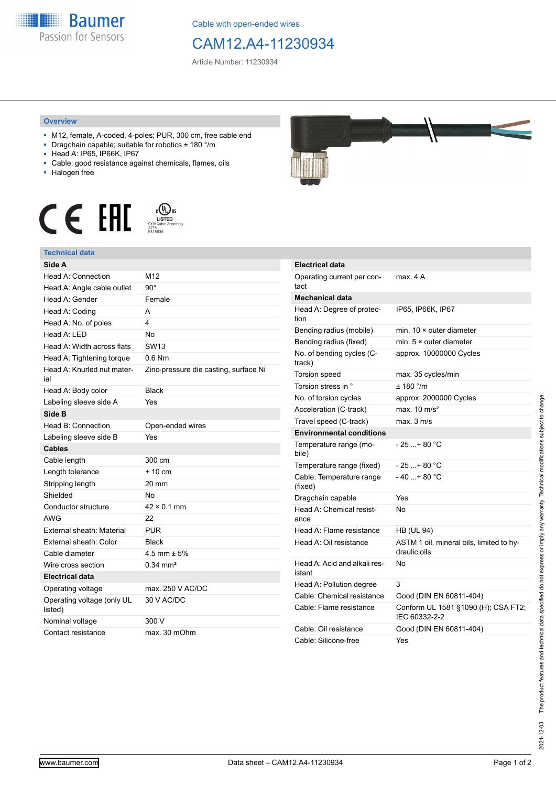

Cable with open-ended wires

## CAM12.A4-11230934

Article Number: 11230934

## **Overview**

- M12, female, A-coded, 4-poles; PUR, 300 cm, free cable end
- Dragchain capable; suitable for robotics ± 180 °/m
- Head A: IP65, IP66K, IP67
- Cable: good resistance against chemicals, flames, oils
- Halogen free





| Side A                                |                                       |
|---------------------------------------|---------------------------------------|
| Head A: Connection                    | M12                                   |
| Head A: Angle cable outlet            | $90^{\circ}$                          |
| Head A: Gender                        | Female                                |
| Head A: Coding                        | A                                     |
| Head A: No. of poles                  | 4                                     |
| Head A: LED                           | <b>No</b>                             |
| Head A: Width across flats            | SW <sub>13</sub>                      |
| Head A: Tightening torque             | $0.6$ Nm                              |
| Head A: Knurled nut mater-<br>ial     | Zinc-pressure die casting, surface Ni |
| Head A: Body color                    | <b>Black</b>                          |
| Labeling sleeve side A                | Yes                                   |
| Side B                                |                                       |
| Head B: Connection                    | Open-ended wires                      |
| Labeling sleeve side B                | Yes                                   |
| <b>Cables</b>                         |                                       |
| Cable length                          | 300 cm                                |
| Length tolerance                      | $+10cm$                               |
| Stripping length                      | 20 mm                                 |
| Shielded                              | No                                    |
| Conductor structure                   | $42 \times 0.1$ mm                    |
| <b>AWG</b>                            | 22                                    |
| External sheath: Material             | PUR                                   |
| External sheath: Color                | <b>Black</b>                          |
| Cable diameter                        | 4.5 mm $\pm$ 5%                       |
| Wire cross section                    | $0.34 \, \text{mm}^2$                 |
| Electrical data                       |                                       |
| Operating voltage                     | max. 250 V AC/DC                      |
| Operating voltage (only UL<br>listed) | 30 V AC/DC                            |
| Nominal voltage                       | 300 V                                 |
| Contact resistance                    | max. 30 mOhm                          |



| <b>Electrical data</b>                 |                                                          |
|----------------------------------------|----------------------------------------------------------|
| Operating current per con-<br>tact     | max. 4 A                                                 |
| Mechanical data                        |                                                          |
| Head A: Degree of protec-<br>tion      | IP65, IP66K, IP67                                        |
| Bending radius (mobile)                | min. $10 \times$ outer diameter                          |
| Bending radius (fixed)                 | min. $5 \times$ outer diameter                           |
| No. of bending cycles (C-<br>track)    | approx. 10000000 Cycles                                  |
| Torsion speed                          | max. 35 cycles/min                                       |
| Torsion stress in °                    | ± 180 °/m                                                |
| No. of torsion cycles                  | approx. 2000000 Cycles                                   |
| Acceleration (C-track)                 | max. $10 \text{ m/s}^2$                                  |
| Travel speed (C-track)                 | max. 3 m/s                                               |
| <b>Environmental conditions</b>        |                                                          |
| Temperature range (mo-<br>bile)        | - 25 + 80 °C                                             |
| Temperature range (fixed)              | - 25 + 80 °C                                             |
| Cable: Temperature range<br>(fixed)    | $-40+80 °C$                                              |
| Dragchain capable                      | Yes                                                      |
| Head A: Chemical resist-<br>ance       | N٥                                                       |
| Head A: Flame resistance               | <b>HB (UL 94)</b>                                        |
| Head A: Oil resistance                 | ASTM 1 oil, mineral oils, limited to hy-<br>draulic oils |
| Head A: Acid and alkali res-<br>istant | No                                                       |
| Head A: Pollution degree               | 3                                                        |
| Cable: Chemical resistance             | Good (DIN EN 60811-404)                                  |
| Cable: Flame resistance                | Conform UL 1581 §1090 (H); CSA FT2;<br>IEC 60332-2-2     |
| Cable: Oil resistance                  | Good (DIN EN 60811-404)                                  |
| Cable: Silicone-free                   | Yes                                                      |